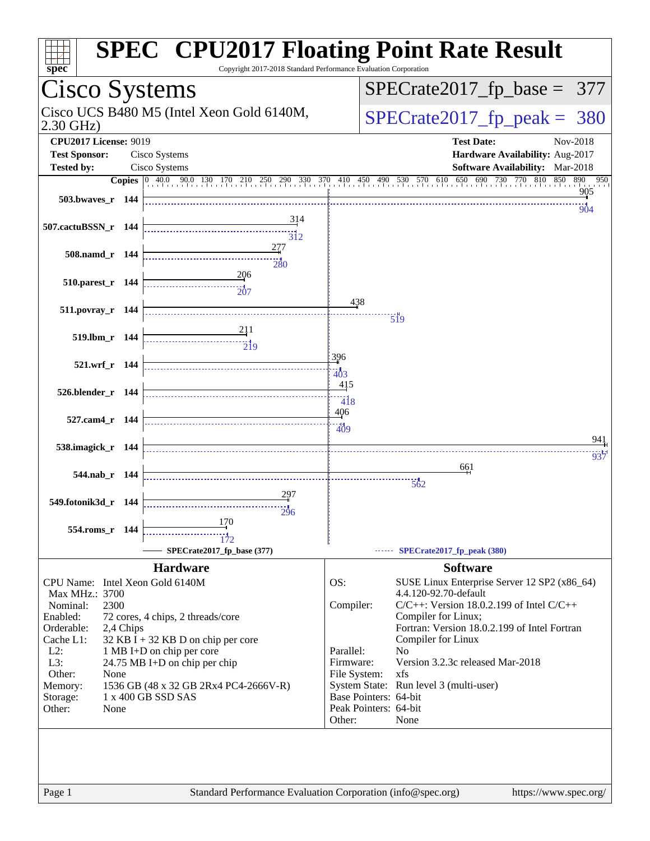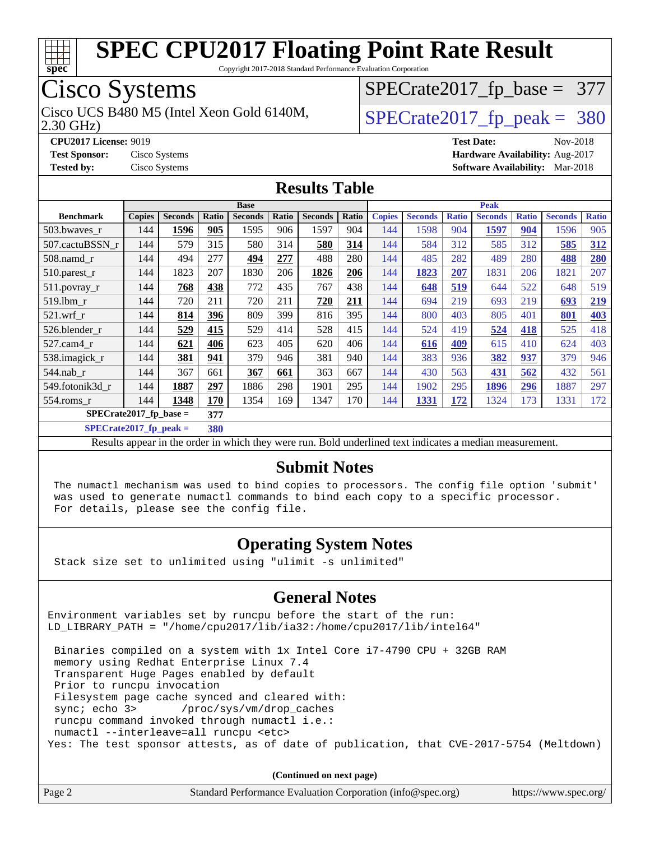

Copyright 2017-2018 Standard Performance Evaluation Corporation

### Cisco Systems

Cisco UCS B480 M5 (Intel Xeon Gold 6140M,  $SPECrate2017_fp\_peak = 380$ 

[SPECrate2017\\_fp\\_base =](http://www.spec.org/auto/cpu2017/Docs/result-fields.html#SPECrate2017fpbase) 377

2.30 GHz)

**[CPU2017 License:](http://www.spec.org/auto/cpu2017/Docs/result-fields.html#CPU2017License)** 9019 **[Test Date:](http://www.spec.org/auto/cpu2017/Docs/result-fields.html#TestDate)** Nov-2018 **[Test Sponsor:](http://www.spec.org/auto/cpu2017/Docs/result-fields.html#TestSponsor)** Cisco Systems **[Hardware Availability:](http://www.spec.org/auto/cpu2017/Docs/result-fields.html#HardwareAvailability)** Aug-2017 **[Tested by:](http://www.spec.org/auto/cpu2017/Docs/result-fields.html#Testedby)** Cisco Systems **[Software Availability:](http://www.spec.org/auto/cpu2017/Docs/result-fields.html#SoftwareAvailability)** Mar-2018

#### **[Results Table](http://www.spec.org/auto/cpu2017/Docs/result-fields.html#ResultsTable)**

|                                  | <b>Base</b>   |                |       |                |       |                | <b>Peak</b> |               |                |              |                |              |                |              |
|----------------------------------|---------------|----------------|-------|----------------|-------|----------------|-------------|---------------|----------------|--------------|----------------|--------------|----------------|--------------|
| <b>Benchmark</b>                 | <b>Copies</b> | <b>Seconds</b> | Ratio | <b>Seconds</b> | Ratio | <b>Seconds</b> | Ratio       | <b>Copies</b> | <b>Seconds</b> | <b>Ratio</b> | <b>Seconds</b> | <b>Ratio</b> | <b>Seconds</b> | <b>Ratio</b> |
| 503.bwaves_r                     | 144           | 1596           | 905   | 1595           | 906   | 1597           | 904         | 144           | 1598           | 904          | 1597           | 904          | 1596           | 905          |
| 507.cactuBSSN r                  | 144           | 579            | 315   | 580            | 314   | 580            | 314         | 144           | 584            | 312          | 585            | 312          | 585            | 312          |
| $508$ .namd $r$                  | 144           | 494            | 277   | 494            | 277   | 488            | 280         | 144           | 485            | 282          | 489            | 280          | 488            | 280          |
| 510.parest_r                     | 144           | 1823           | 207   | 1830           | 206   | 1826           | 206         | 144           | 1823           | 207          | 1831           | 206          | 1821           | 207          |
| 511.povray_r                     | 144           | 768            | 438   | 772            | 435   | 767            | 438         | 144           | 648            | 519          | 644            | 522          | 648            | 519          |
| 519.1bm r                        | 144           | 720            | 211   | 720            | 211   | 720            | 211         | 144           | 694            | 219          | 693            | 219          | 693            | 219          |
| $521$ .wrf r                     | 144           | 814            | 396   | 809            | 399   | 816            | 395         | 144           | 800            | 403          | 805            | 401          | 801            | 403          |
| 526.blender r                    | 144           | 529            | 415   | 529            | 414   | 528            | 415         | 144           | 524            | 419          | 524            | 418          | 525            | 418          |
| 527.cam4_r                       | 144           | 621            | 406   | 623            | 405   | 620            | 406         | 144           | 616            | 409          | 615            | 410          | 624            | 403          |
| 538.imagick_r                    | 144           | 381            | 941   | 379            | 946   | 381            | 940         | 144           | 383            | 936          | 382            | 937          | 379            | 946          |
| 544.nab r                        | 144           | 367            | 661   | 367            | 661   | 363            | 667         | 144           | 430            | 563          | 431            | 562          | 432            | 561          |
| 549.fotonik3d_r                  | 144           | 1887           | 297   | 1886           | 298   | 1901           | 295         | 144           | 1902           | 295          | 1896           | 296          | 1887           | 297          |
| 554.roms r                       | 144           | 1348           | 170   | 1354           | 169   | 1347           | 170         | 144           | 1331           | 172          | 1324           | 173          | 1331           | 172          |
| $SPECrate2017_fp\_base =$<br>377 |               |                |       |                |       |                |             |               |                |              |                |              |                |              |

**[SPECrate2017\\_fp\\_peak =](http://www.spec.org/auto/cpu2017/Docs/result-fields.html#SPECrate2017fppeak) 380**

Results appear in the [order in which they were run](http://www.spec.org/auto/cpu2017/Docs/result-fields.html#RunOrder). Bold underlined text [indicates a median measurement](http://www.spec.org/auto/cpu2017/Docs/result-fields.html#Median).

#### **[Submit Notes](http://www.spec.org/auto/cpu2017/Docs/result-fields.html#SubmitNotes)**

 The numactl mechanism was used to bind copies to processors. The config file option 'submit' was used to generate numactl commands to bind each copy to a specific processor. For details, please see the config file.

#### **[Operating System Notes](http://www.spec.org/auto/cpu2017/Docs/result-fields.html#OperatingSystemNotes)**

Stack size set to unlimited using "ulimit -s unlimited"

#### **[General Notes](http://www.spec.org/auto/cpu2017/Docs/result-fields.html#GeneralNotes)**

Environment variables set by runcpu before the start of the run: LD\_LIBRARY\_PATH = "/home/cpu2017/lib/ia32:/home/cpu2017/lib/intel64"

 Binaries compiled on a system with 1x Intel Core i7-4790 CPU + 32GB RAM memory using Redhat Enterprise Linux 7.4 Transparent Huge Pages enabled by default Prior to runcpu invocation Filesystem page cache synced and cleared with: sync; echo 3> /proc/sys/vm/drop\_caches runcpu command invoked through numactl i.e.: numactl --interleave=all runcpu <etc> Yes: The test sponsor attests, as of date of publication, that CVE-2017-5754 (Meltdown)

**(Continued on next page)**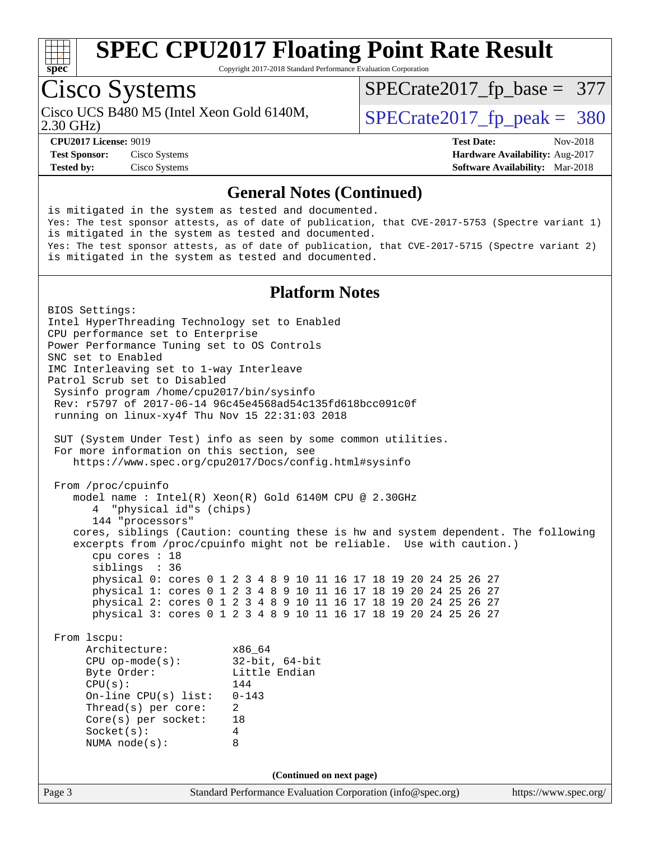

Copyright 2017-2018 Standard Performance Evaluation Corporation

### Cisco Systems

Cisco UCS B480 M5 (Intel Xeon Gold 6140M,  $\vert$  [SPECrate2017\\_fp\\_peak =](http://www.spec.org/auto/cpu2017/Docs/result-fields.html#SPECrate2017fppeak) 380

[SPECrate2017\\_fp\\_base =](http://www.spec.org/auto/cpu2017/Docs/result-fields.html#SPECrate2017fpbase) 377

2.30 GHz)

**[Tested by:](http://www.spec.org/auto/cpu2017/Docs/result-fields.html#Testedby)** Cisco Systems **[Software Availability:](http://www.spec.org/auto/cpu2017/Docs/result-fields.html#SoftwareAvailability)** Mar-2018

**[CPU2017 License:](http://www.spec.org/auto/cpu2017/Docs/result-fields.html#CPU2017License)** 9019 **[Test Date:](http://www.spec.org/auto/cpu2017/Docs/result-fields.html#TestDate)** Nov-2018 **[Test Sponsor:](http://www.spec.org/auto/cpu2017/Docs/result-fields.html#TestSponsor)** Cisco Systems **[Hardware Availability:](http://www.spec.org/auto/cpu2017/Docs/result-fields.html#HardwareAvailability)** Aug-2017

#### **[General Notes \(Continued\)](http://www.spec.org/auto/cpu2017/Docs/result-fields.html#GeneralNotes)**

is mitigated in the system as tested and documented. Yes: The test sponsor attests, as of date of publication, that CVE-2017-5753 (Spectre variant 1) is mitigated in the system as tested and documented. Yes: The test sponsor attests, as of date of publication, that CVE-2017-5715 (Spectre variant 2) is mitigated in the system as tested and documented.

#### **[Platform Notes](http://www.spec.org/auto/cpu2017/Docs/result-fields.html#PlatformNotes)**

Page 3 Standard Performance Evaluation Corporation [\(info@spec.org\)](mailto:info@spec.org) <https://www.spec.org/> BIOS Settings: Intel HyperThreading Technology set to Enabled CPU performance set to Enterprise Power Performance Tuning set to OS Controls SNC set to Enabled IMC Interleaving set to 1-way Interleave Patrol Scrub set to Disabled Sysinfo program /home/cpu2017/bin/sysinfo Rev: r5797 of 2017-06-14 96c45e4568ad54c135fd618bcc091c0f running on linux-xy4f Thu Nov 15 22:31:03 2018 SUT (System Under Test) info as seen by some common utilities. For more information on this section, see <https://www.spec.org/cpu2017/Docs/config.html#sysinfo> From /proc/cpuinfo model name : Intel(R) Xeon(R) Gold 6140M CPU @ 2.30GHz 4 "physical id"s (chips) 144 "processors" cores, siblings (Caution: counting these is hw and system dependent. The following excerpts from /proc/cpuinfo might not be reliable. Use with caution.) cpu cores : 18 siblings : 36 physical 0: cores 0 1 2 3 4 8 9 10 11 16 17 18 19 20 24 25 26 27 physical 1: cores 0 1 2 3 4 8 9 10 11 16 17 18 19 20 24 25 26 27 physical 2: cores 0 1 2 3 4 8 9 10 11 16 17 18 19 20 24 25 26 27 physical 3: cores 0 1 2 3 4 8 9 10 11 16 17 18 19 20 24 25 26 27 From lscpu: Architecture: x86\_64 CPU op-mode(s): 32-bit, 64-bit Little Endian CPU(s): 144 On-line CPU(s) list: 0-143 Thread(s) per core: 2 Core(s) per socket: 18 Socket(s): 4 NUMA node(s): 8 **(Continued on next page)**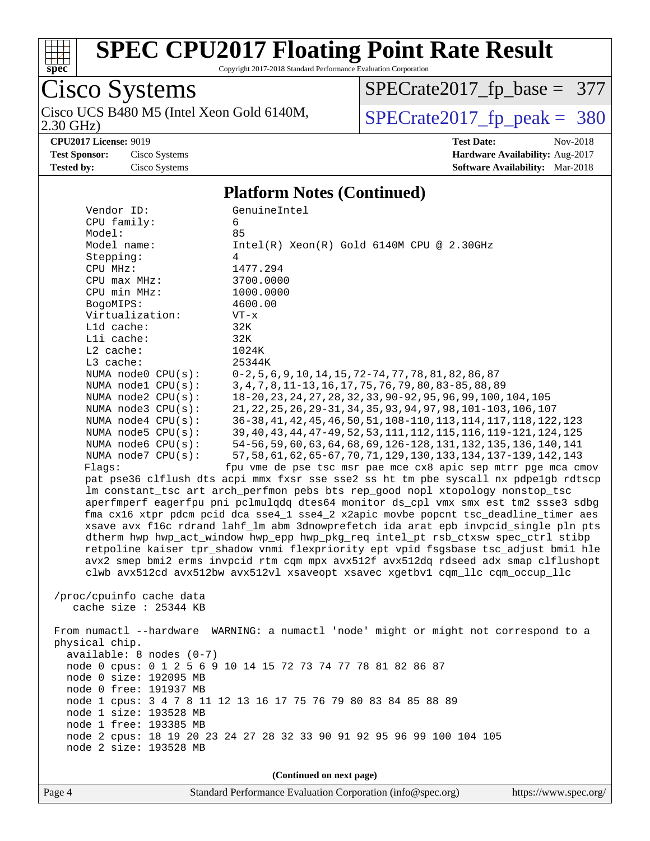

Copyright 2017-2018 Standard Performance Evaluation Corporation

Cisco Systems 2.30 GHz) Cisco UCS B480 M5 (Intel Xeon Gold 6140M,  $\sqrt{SPECrate2017\_fp\_peak} = 380$ 

[SPECrate2017\\_fp\\_base =](http://www.spec.org/auto/cpu2017/Docs/result-fields.html#SPECrate2017fpbase) 377

**[Test Sponsor:](http://www.spec.org/auto/cpu2017/Docs/result-fields.html#TestSponsor)** Cisco Systems **[Hardware Availability:](http://www.spec.org/auto/cpu2017/Docs/result-fields.html#HardwareAvailability)** Aug-2017 **[Tested by:](http://www.spec.org/auto/cpu2017/Docs/result-fields.html#Testedby)** Cisco Systems **[Software Availability:](http://www.spec.org/auto/cpu2017/Docs/result-fields.html#SoftwareAvailability)** Mar-2018

**[CPU2017 License:](http://www.spec.org/auto/cpu2017/Docs/result-fields.html#CPU2017License)** 9019 **[Test Date:](http://www.spec.org/auto/cpu2017/Docs/result-fields.html#TestDate)** Nov-2018

#### **[Platform Notes \(Continued\)](http://www.spec.org/auto/cpu2017/Docs/result-fields.html#PlatformNotes)**

| Vendor ID:                                                                               | GenuineIntel                                                                         |  |  |  |
|------------------------------------------------------------------------------------------|--------------------------------------------------------------------------------------|--|--|--|
| CPU family:                                                                              | 6                                                                                    |  |  |  |
| Model:                                                                                   | 85                                                                                   |  |  |  |
| Model name:                                                                              | $Intel(R) Xeon(R) Gold 6140M CPU @ 2.30GHz$                                          |  |  |  |
| Stepping:                                                                                | 4                                                                                    |  |  |  |
| CPU MHz:                                                                                 | 1477.294                                                                             |  |  |  |
| CPU max MHz:                                                                             | 3700.0000                                                                            |  |  |  |
| CPU min MHz:                                                                             | 1000.0000                                                                            |  |  |  |
| BogoMIPS:                                                                                | 4600.00                                                                              |  |  |  |
| Virtualization:                                                                          | $VT - x$                                                                             |  |  |  |
| L1d cache:                                                                               | 32K                                                                                  |  |  |  |
| Lli cache:                                                                               | 32K                                                                                  |  |  |  |
| $L2$ cache:                                                                              | 1024K                                                                                |  |  |  |
| L3 cache:                                                                                | 25344K                                                                               |  |  |  |
| NUMA node0 CPU(s):                                                                       | $0-2, 5, 6, 9, 10, 14, 15, 72-74, 77, 78, 81, 82, 86, 87$                            |  |  |  |
| NUMA nodel CPU(s):                                                                       | 3, 4, 7, 8, 11-13, 16, 17, 75, 76, 79, 80, 83-85, 88, 89                             |  |  |  |
| NUMA node2 CPU(s):                                                                       | 18-20, 23, 24, 27, 28, 32, 33, 90-92, 95, 96, 99, 100, 104, 105                      |  |  |  |
| NUMA $node3$ $CPU(s):$                                                                   | 21, 22, 25, 26, 29-31, 34, 35, 93, 94, 97, 98, 101-103, 106, 107                     |  |  |  |
| NUMA $node4$ $CPU(s):$                                                                   | 36-38, 41, 42, 45, 46, 50, 51, 108-110, 113, 114, 117, 118, 122, 123                 |  |  |  |
| NUMA node5 CPU(s):                                                                       | 39, 40, 43, 44, 47-49, 52, 53, 111, 112, 115, 116, 119-121, 124, 125                 |  |  |  |
| NUMA node6 CPU(s):                                                                       | 54-56, 59, 60, 63, 64, 68, 69, 126-128, 131, 132, 135, 136, 140, 141                 |  |  |  |
| NUMA node7 CPU(s):                                                                       | 57, 58, 61, 62, 65-67, 70, 71, 129, 130, 133, 134, 137-139, 142, 143                 |  |  |  |
| Flags:                                                                                   | fpu vme de pse tsc msr pae mce cx8 apic sep mtrr pge mca cmov                        |  |  |  |
|                                                                                          | pat pse36 clflush dts acpi mmx fxsr sse sse2 ss ht tm pbe syscall nx pdpelgb rdtscp  |  |  |  |
|                                                                                          | lm constant_tsc art arch_perfmon pebs bts rep_good nopl xtopology nonstop_tsc        |  |  |  |
|                                                                                          | aperfmperf eagerfpu pni pclmulqdq dtes64 monitor ds_cpl vmx smx est tm2 ssse3 sdbg   |  |  |  |
|                                                                                          | fma cx16 xtpr pdcm pcid dca sse4_1 sse4_2 x2apic movbe popcnt tsc_deadline_timer aes |  |  |  |
|                                                                                          | xsave avx f16c rdrand lahf_lm abm 3dnowprefetch ida arat epb invpcid_single pln pts  |  |  |  |
|                                                                                          | dtherm hwp hwp_act_window hwp_epp hwp_pkg_req intel_pt rsb_ctxsw spec_ctrl stibp     |  |  |  |
|                                                                                          | retpoline kaiser tpr_shadow vnmi flexpriority ept vpid fsgsbase tsc_adjust bmil hle  |  |  |  |
|                                                                                          | avx2 smep bmi2 erms invpcid rtm cqm mpx avx512f avx512dq rdseed adx smap clflushopt  |  |  |  |
|                                                                                          | clwb avx512cd avx512bw avx512vl xsaveopt xsavec xgetbvl cqm_llc cqm_occup_llc        |  |  |  |
|                                                                                          |                                                                                      |  |  |  |
| /proc/cpuinfo cache data                                                                 |                                                                                      |  |  |  |
| cache size $: 25344$ KB                                                                  |                                                                                      |  |  |  |
|                                                                                          |                                                                                      |  |  |  |
|                                                                                          | From numactl --hardware WARNING: a numactl 'node' might or might not correspond to a |  |  |  |
| physical chip.                                                                           |                                                                                      |  |  |  |
| $available: 8 nodes (0-7)$                                                               |                                                                                      |  |  |  |
| node 0 cpus: 0 1 2 5 6 9 10 14 15 72 73 74 77 78 81 82 86 87                             |                                                                                      |  |  |  |
| node 0 size: 192095 MB                                                                   |                                                                                      |  |  |  |
| node 0 free: 191937 MB<br>node 1 cpus: 3 4 7 8 11 12 13 16 17 75 76 79 80 83 84 85 88 89 |                                                                                      |  |  |  |
| node 1 size: 193528 MB                                                                   |                                                                                      |  |  |  |
| node 1 free: 193385 MB                                                                   |                                                                                      |  |  |  |
|                                                                                          | node 2 cpus: 18 19 20 23 24 27 28 32 33 90 91 92 95 96 99 100 104 105                |  |  |  |
| node 2 size: 193528 MB                                                                   |                                                                                      |  |  |  |
|                                                                                          |                                                                                      |  |  |  |
|                                                                                          |                                                                                      |  |  |  |
|                                                                                          | (Continued on next page)                                                             |  |  |  |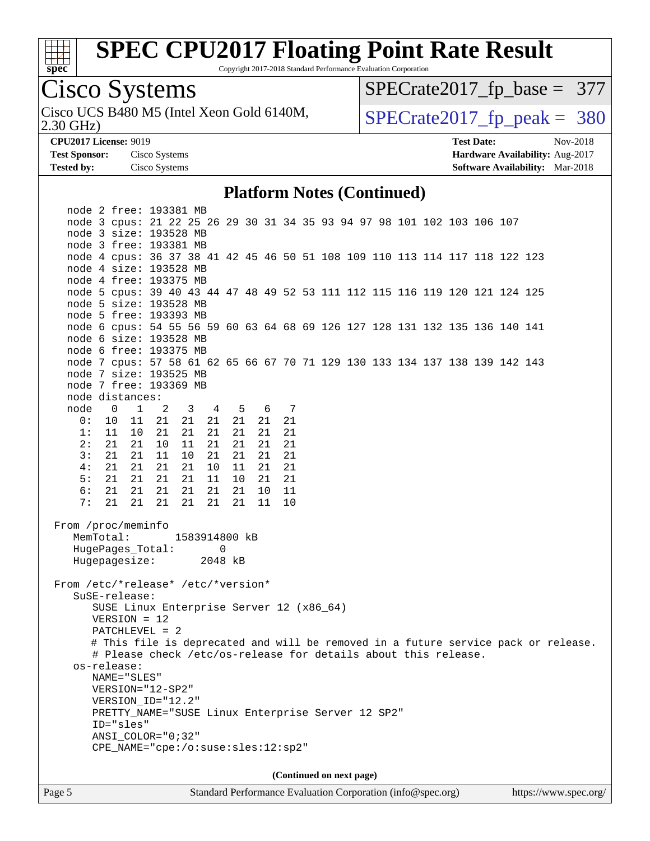

[SPECrate2017\\_fp\\_base =](http://www.spec.org/auto/cpu2017/Docs/result-fields.html#SPECrate2017fpbase) 377

Copyright 2017-2018 Standard Performance Evaluation Corporation

2.30 GHz) Cisco UCS B480 M5 (Intel Xeon Gold 6140M,  $\begin{array}{c|c} | \text{SPECrate2017\_fp\_peak} = 380 \end{array}$ **[CPU2017 License:](http://www.spec.org/auto/cpu2017/Docs/result-fields.html#CPU2017License)** 9019 **[Test Date:](http://www.spec.org/auto/cpu2017/Docs/result-fields.html#TestDate)** Nov-2018 **[Test Sponsor:](http://www.spec.org/auto/cpu2017/Docs/result-fields.html#TestSponsor)** Cisco Systems **[Hardware Availability:](http://www.spec.org/auto/cpu2017/Docs/result-fields.html#HardwareAvailability)** Aug-2017 **[Tested by:](http://www.spec.org/auto/cpu2017/Docs/result-fields.html#Testedby)** Cisco Systems **[Software Availability:](http://www.spec.org/auto/cpu2017/Docs/result-fields.html#SoftwareAvailability)** Mar-2018 **[Platform Notes \(Continued\)](http://www.spec.org/auto/cpu2017/Docs/result-fields.html#PlatformNotes)** node 2 free: 193381 MB node 3 cpus: 21 22 25 26 29 30 31 34 35 93 94 97 98 101 102 103 106 107 node 3 size: 193528 MB node 3 free: 193381 MB node 4 cpus: 36 37 38 41 42 45 46 50 51 108 109 110 113 114 117 118 122 123 node 4 size: 193528 MB node 4 free: 193375 MB node 5 cpus: 39 40 43 44 47 48 49 52 53 111 112 115 116 119 120 121 124 125 node 5 size: 193528 MB node 5 free: 193393 MB node 6 cpus: 54 55 56 59 60 63 64 68 69 126 127 128 131 132 135 136 140 141 node 6 size: 193528 MB node 6 free: 193375 MB node 7 cpus: 57 58 61 62 65 66 67 70 71 129 130 133 134 137 138 139 142 143 node 7 size: 193525 MB node 7 free: 193369 MB node distances: node 0 1 2 3 4 5 6 7 0: 10 11 21 21 21 21 21 21 1: 11 10 21 21 21 21 21 21 2: 21 21 10 11 21 21 21 21 3: 21 21 11 10 21 21 21 21 4: 21 21 21 21 10 11 21 21 5: 21 21 21 21 11 10 21 21 6: 21 21 21 21 21 21 10 11 7: 21 21 21 21 21 21 11 10 From /proc/meminfo MemTotal: 1583914800 kB HugePages\_Total: 0 Hugepagesize: 2048 kB From /etc/\*release\* /etc/\*version\* SuSE-release: SUSE Linux Enterprise Server 12 (x86\_64) VERSION = 12 PATCHLEVEL = 2 # This file is deprecated and will be removed in a future service pack or release. # Please check /etc/os-release for details about this release. os-release: NAME="SLES" VERSION="12-SP2" VERSION\_ID="12.2" PRETTY\_NAME="SUSE Linux Enterprise Server 12 SP2" ID="sles" ANSI\_COLOR="0;32" CPE\_NAME="cpe:/o:suse:sles:12:sp2" **(Continued on next page)**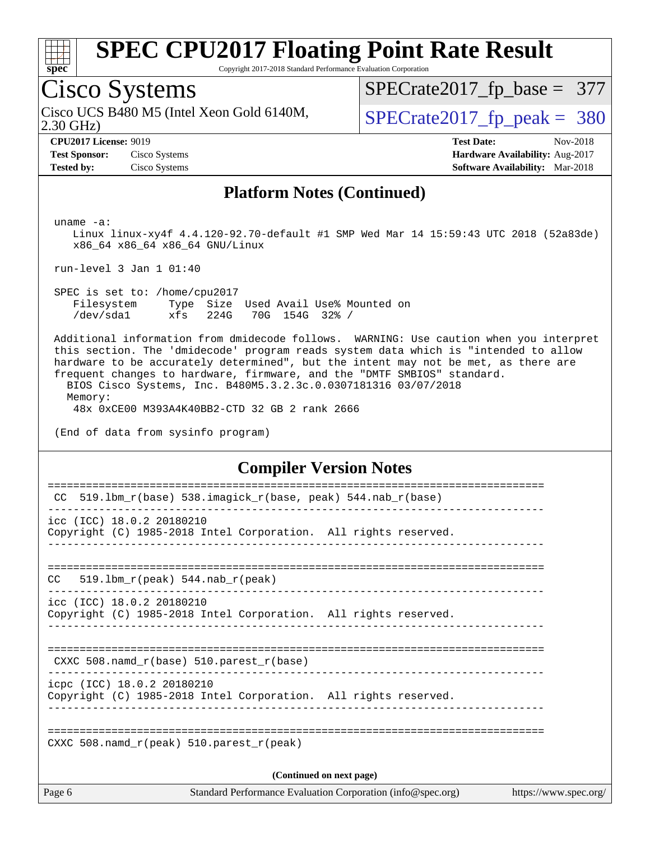

Copyright 2017-2018 Standard Performance Evaluation Corporation

### Cisco Systems

2.30 GHz) Cisco UCS B480 M5 (Intel Xeon Gold 6140M,  $\begin{array}{c|c} | \text{SPECrate2017\_fp\_peak} = 380 \end{array}$ 

[SPECrate2017\\_fp\\_base =](http://www.spec.org/auto/cpu2017/Docs/result-fields.html#SPECrate2017fpbase) 377

**[Tested by:](http://www.spec.org/auto/cpu2017/Docs/result-fields.html#Testedby)** Cisco Systems **[Software Availability:](http://www.spec.org/auto/cpu2017/Docs/result-fields.html#SoftwareAvailability)** Mar-2018

**[CPU2017 License:](http://www.spec.org/auto/cpu2017/Docs/result-fields.html#CPU2017License)** 9019 **[Test Date:](http://www.spec.org/auto/cpu2017/Docs/result-fields.html#TestDate)** Nov-2018 **[Test Sponsor:](http://www.spec.org/auto/cpu2017/Docs/result-fields.html#TestSponsor)** Cisco Systems **[Hardware Availability:](http://www.spec.org/auto/cpu2017/Docs/result-fields.html#HardwareAvailability)** Aug-2017

#### **[Platform Notes \(Continued\)](http://www.spec.org/auto/cpu2017/Docs/result-fields.html#PlatformNotes)**

uname -a:

 Linux linux-xy4f 4.4.120-92.70-default #1 SMP Wed Mar 14 15:59:43 UTC 2018 (52a83de) x86\_64 x86\_64 x86\_64 GNU/Linux

run-level 3 Jan 1 01:40

 SPEC is set to: /home/cpu2017 Filesystem Type Size Used Avail Use% Mounted on /dev/sda1 xfs 224G 70G 154G 32% /

 Additional information from dmidecode follows. WARNING: Use caution when you interpret this section. The 'dmidecode' program reads system data which is "intended to allow hardware to be accurately determined", but the intent may not be met, as there are frequent changes to hardware, firmware, and the "DMTF SMBIOS" standard.

 BIOS Cisco Systems, Inc. B480M5.3.2.3c.0.0307181316 03/07/2018 Memory:

48x 0xCE00 M393A4K40BB2-CTD 32 GB 2 rank 2666

(End of data from sysinfo program)

#### **[Compiler Version Notes](http://www.spec.org/auto/cpu2017/Docs/result-fields.html#CompilerVersionNotes)**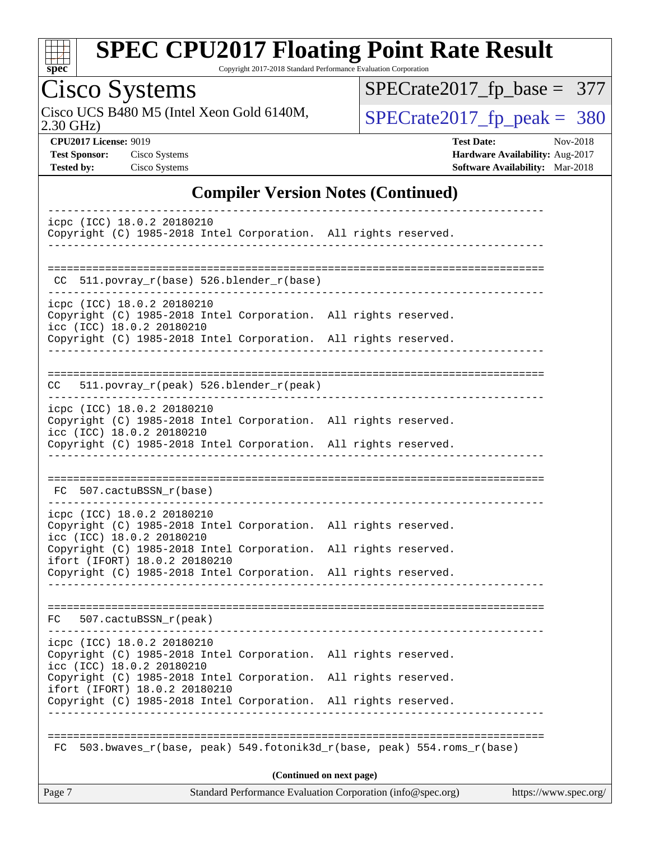

Copyright 2017-2018 Standard Performance Evaluation Corporation

# Cisco Systems

2.30 GHz) Cisco UCS B480 M5 (Intel Xeon Gold 6140M,  $\sqrt{SPECrate2017\_fp\_peak} = 380$ 

[SPECrate2017\\_fp\\_base =](http://www.spec.org/auto/cpu2017/Docs/result-fields.html#SPECrate2017fpbase) 377

**[CPU2017 License:](http://www.spec.org/auto/cpu2017/Docs/result-fields.html#CPU2017License)** 9019 **[Test Date:](http://www.spec.org/auto/cpu2017/Docs/result-fields.html#TestDate)** Nov-2018 **[Test Sponsor:](http://www.spec.org/auto/cpu2017/Docs/result-fields.html#TestSponsor)** Cisco Systems **[Hardware Availability:](http://www.spec.org/auto/cpu2017/Docs/result-fields.html#HardwareAvailability)** Aug-2017 **[Tested by:](http://www.spec.org/auto/cpu2017/Docs/result-fields.html#Testedby)** Cisco Systems **[Software Availability:](http://www.spec.org/auto/cpu2017/Docs/result-fields.html#SoftwareAvailability)** Mar-2018

#### **[Compiler Version Notes \(Continued\)](http://www.spec.org/auto/cpu2017/Docs/result-fields.html#CompilerVersionNotes)**

| Standard Performance Evaluation Corporation (info@spec.org)<br>Page 7<br>https://www.spec.org/                                                                      |  |
|---------------------------------------------------------------------------------------------------------------------------------------------------------------------|--|
| (Continued on next page)                                                                                                                                            |  |
| 503.bwaves_r(base, peak) 549.fotonik3d_r(base, peak) 554.roms_r(base)<br>FC.                                                                                        |  |
|                                                                                                                                                                     |  |
| ifort (IFORT) 18.0.2 20180210<br>Copyright (C) 1985-2018 Intel Corporation. All rights reserved.                                                                    |  |
| icc (ICC) 18.0.2 20180210<br>Copyright (C) 1985-2018 Intel Corporation. All rights reserved.                                                                        |  |
| icpc (ICC) 18.0.2 20180210<br>Copyright (C) 1985-2018 Intel Corporation. All rights reserved.                                                                       |  |
|                                                                                                                                                                     |  |
| FC 507.cactuBSSN_r(peak)                                                                                                                                            |  |
|                                                                                                                                                                     |  |
| Copyright (C) 1985-2018 Intel Corporation. All rights reserved.<br>ifort (IFORT) 18.0.2 20180210<br>Copyright (C) 1985-2018 Intel Corporation. All rights reserved. |  |
| icc (ICC) 18.0.2 20180210                                                                                                                                           |  |
| icpc (ICC) 18.0.2 20180210<br>Copyright (C) 1985-2018 Intel Corporation. All rights reserved.                                                                       |  |
| FC 507.cactuBSSN_r(base)<br>-------------------------                                                                                                               |  |
|                                                                                                                                                                     |  |
| Copyright (C) 1985-2018 Intel Corporation. All rights reserved.                                                                                                     |  |
| Copyright (C) 1985-2018 Intel Corporation. All rights reserved.<br>icc (ICC) 18.0.2 20180210                                                                        |  |
| icpc (ICC) 18.0.2 20180210                                                                                                                                          |  |
| 511.povray_r(peak) 526.blender_r(peak)<br>CC                                                                                                                        |  |
|                                                                                                                                                                     |  |
| Copyright (C) 1985-2018 Intel Corporation. All rights reserved.                                                                                                     |  |
| Copyright (C) 1985-2018 Intel Corporation. All rights reserved.<br>icc (ICC) 18.0.2 20180210                                                                        |  |
| icpc (ICC) 18.0.2 20180210                                                                                                                                          |  |
| 511.povray_r(base) 526.blender_r(base)<br>CC.                                                                                                                       |  |
|                                                                                                                                                                     |  |
| icpc (ICC) 18.0.2 20180210<br>Copyright (C) 1985-2018 Intel Corporation. All rights reserved.                                                                       |  |
|                                                                                                                                                                     |  |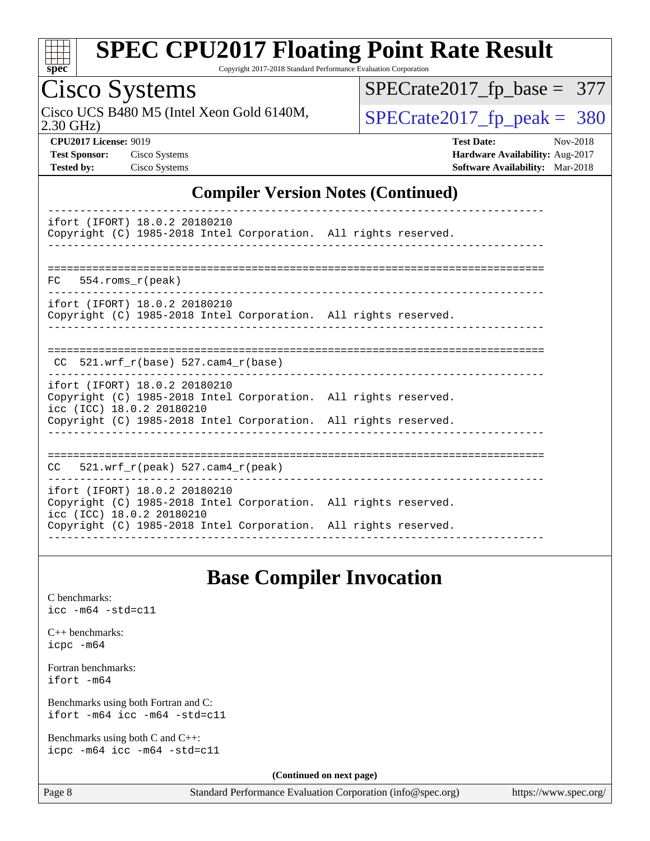

Copyright 2017-2018 Standard Performance Evaluation Corporation

### Cisco Systems

Cisco UCS B480 M5 (Intel Xeon Gold 6140M,  $\sqrt{SPECrate2017\_fp\_peak} = 380$ 

[SPECrate2017\\_fp\\_base =](http://www.spec.org/auto/cpu2017/Docs/result-fields.html#SPECrate2017fpbase) 377

2.30 GHz)

**[CPU2017 License:](http://www.spec.org/auto/cpu2017/Docs/result-fields.html#CPU2017License)** 9019 **[Test Date:](http://www.spec.org/auto/cpu2017/Docs/result-fields.html#TestDate)** Nov-2018 **[Test Sponsor:](http://www.spec.org/auto/cpu2017/Docs/result-fields.html#TestSponsor)** Cisco Systems **[Hardware Availability:](http://www.spec.org/auto/cpu2017/Docs/result-fields.html#HardwareAvailability)** Aug-2017 **[Tested by:](http://www.spec.org/auto/cpu2017/Docs/result-fields.html#Testedby)** Cisco Systems **[Software Availability:](http://www.spec.org/auto/cpu2017/Docs/result-fields.html#SoftwareAvailability)** Mar-2018

#### **[Compiler Version Notes \(Continued\)](http://www.spec.org/auto/cpu2017/Docs/result-fields.html#CompilerVersionNotes)**

| ifort (IFORT) 18.0.2 20180210<br>Copyright (C) 1985-2018 Intel Corporation. All rights reserved.                                                                                                 |  |
|--------------------------------------------------------------------------------------------------------------------------------------------------------------------------------------------------|--|
| $FC$ 554. roms $r$ (peak)                                                                                                                                                                        |  |
|                                                                                                                                                                                                  |  |
| ifort (IFORT) 18.0.2 20180210<br>Copyright (C) 1985-2018 Intel Corporation. All rights reserved.                                                                                                 |  |
|                                                                                                                                                                                                  |  |
| CC $521.$ wrf r(base) 527.cam4 r(base)                                                                                                                                                           |  |
| ifort (IFORT) 18.0.2 20180210<br>Copyright (C) 1985-2018 Intel Corporation. All rights reserved.<br>icc (ICC) 18.0.2 20180210<br>Copyright (C) 1985-2018 Intel Corporation. All rights reserved. |  |
| $CC = 521$ .wrf $r(\text{peak})$ 527.cam4 $r(\text{peak})$                                                                                                                                       |  |
| ifort (IFORT) 18.0.2 20180210<br>Copyright (C) 1985-2018 Intel Corporation. All rights reserved.<br>icc (ICC) 18.0.2 20180210<br>Copyright (C) 1985-2018 Intel Corporation. All rights reserved. |  |
|                                                                                                                                                                                                  |  |

#### **[Base Compiler Invocation](http://www.spec.org/auto/cpu2017/Docs/result-fields.html#BaseCompilerInvocation)**

[C benchmarks](http://www.spec.org/auto/cpu2017/Docs/result-fields.html#Cbenchmarks): [icc -m64 -std=c11](http://www.spec.org/cpu2017/results/res2018q4/cpu2017-20181127-09982.flags.html#user_CCbase_intel_icc_64bit_c11_33ee0cdaae7deeeab2a9725423ba97205ce30f63b9926c2519791662299b76a0318f32ddfffdc46587804de3178b4f9328c46fa7c2b0cd779d7a61945c91cd35)

[C++ benchmarks:](http://www.spec.org/auto/cpu2017/Docs/result-fields.html#CXXbenchmarks) [icpc -m64](http://www.spec.org/cpu2017/results/res2018q4/cpu2017-20181127-09982.flags.html#user_CXXbase_intel_icpc_64bit_4ecb2543ae3f1412ef961e0650ca070fec7b7afdcd6ed48761b84423119d1bf6bdf5cad15b44d48e7256388bc77273b966e5eb805aefd121eb22e9299b2ec9d9)

[Fortran benchmarks](http://www.spec.org/auto/cpu2017/Docs/result-fields.html#Fortranbenchmarks): [ifort -m64](http://www.spec.org/cpu2017/results/res2018q4/cpu2017-20181127-09982.flags.html#user_FCbase_intel_ifort_64bit_24f2bb282fbaeffd6157abe4f878425411749daecae9a33200eee2bee2fe76f3b89351d69a8130dd5949958ce389cf37ff59a95e7a40d588e8d3a57e0c3fd751)

[Benchmarks using both Fortran and C](http://www.spec.org/auto/cpu2017/Docs/result-fields.html#BenchmarksusingbothFortranandC): [ifort -m64](http://www.spec.org/cpu2017/results/res2018q4/cpu2017-20181127-09982.flags.html#user_CC_FCbase_intel_ifort_64bit_24f2bb282fbaeffd6157abe4f878425411749daecae9a33200eee2bee2fe76f3b89351d69a8130dd5949958ce389cf37ff59a95e7a40d588e8d3a57e0c3fd751) [icc -m64 -std=c11](http://www.spec.org/cpu2017/results/res2018q4/cpu2017-20181127-09982.flags.html#user_CC_FCbase_intel_icc_64bit_c11_33ee0cdaae7deeeab2a9725423ba97205ce30f63b9926c2519791662299b76a0318f32ddfffdc46587804de3178b4f9328c46fa7c2b0cd779d7a61945c91cd35)

[Benchmarks using both C and C++](http://www.spec.org/auto/cpu2017/Docs/result-fields.html#BenchmarksusingbothCandCXX): [icpc -m64](http://www.spec.org/cpu2017/results/res2018q4/cpu2017-20181127-09982.flags.html#user_CC_CXXbase_intel_icpc_64bit_4ecb2543ae3f1412ef961e0650ca070fec7b7afdcd6ed48761b84423119d1bf6bdf5cad15b44d48e7256388bc77273b966e5eb805aefd121eb22e9299b2ec9d9) [icc -m64 -std=c11](http://www.spec.org/cpu2017/results/res2018q4/cpu2017-20181127-09982.flags.html#user_CC_CXXbase_intel_icc_64bit_c11_33ee0cdaae7deeeab2a9725423ba97205ce30f63b9926c2519791662299b76a0318f32ddfffdc46587804de3178b4f9328c46fa7c2b0cd779d7a61945c91cd35)

**(Continued on next page)**

Page 8 Standard Performance Evaluation Corporation [\(info@spec.org\)](mailto:info@spec.org) <https://www.spec.org/>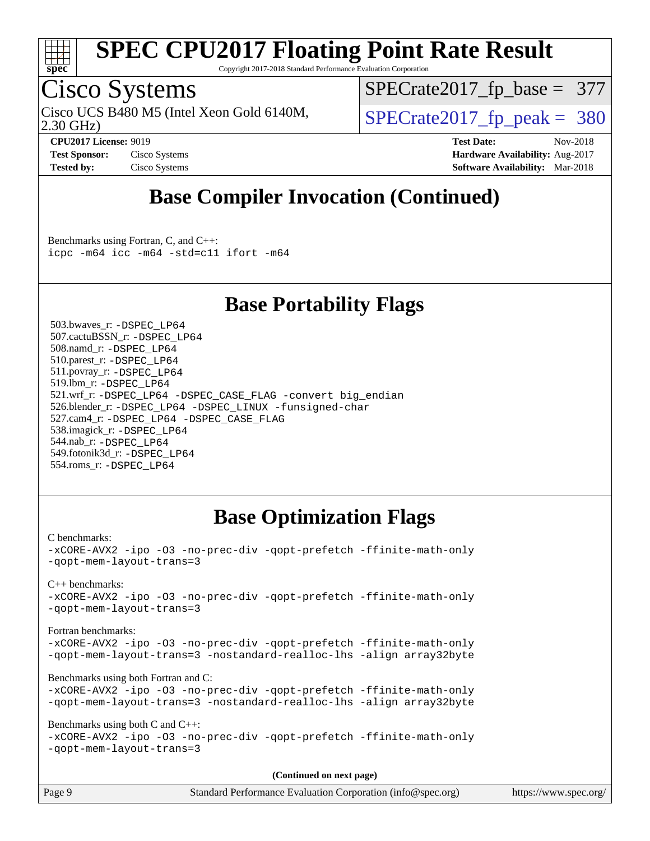

Copyright 2017-2018 Standard Performance Evaluation Corporation

### Cisco Systems

Cisco UCS B480 M5 (Intel Xeon Gold 6140M,  $\begin{array}{c|c} | \text{SPECrate2017\_fp\_peak} = 380 \end{array}$ 

[SPECrate2017\\_fp\\_base =](http://www.spec.org/auto/cpu2017/Docs/result-fields.html#SPECrate2017fpbase) 377

2.30 GHz)

**[CPU2017 License:](http://www.spec.org/auto/cpu2017/Docs/result-fields.html#CPU2017License)** 9019 **[Test Date:](http://www.spec.org/auto/cpu2017/Docs/result-fields.html#TestDate)** Nov-2018 **[Test Sponsor:](http://www.spec.org/auto/cpu2017/Docs/result-fields.html#TestSponsor)** Cisco Systems **Cisco Systems [Hardware Availability:](http://www.spec.org/auto/cpu2017/Docs/result-fields.html#HardwareAvailability)** Aug-2017 **[Tested by:](http://www.spec.org/auto/cpu2017/Docs/result-fields.html#Testedby)** Cisco Systems **[Software Availability:](http://www.spec.org/auto/cpu2017/Docs/result-fields.html#SoftwareAvailability)** Mar-2018

### **[Base Compiler Invocation \(Continued\)](http://www.spec.org/auto/cpu2017/Docs/result-fields.html#BaseCompilerInvocation)**

[Benchmarks using Fortran, C, and C++:](http://www.spec.org/auto/cpu2017/Docs/result-fields.html#BenchmarksusingFortranCandCXX) [icpc -m64](http://www.spec.org/cpu2017/results/res2018q4/cpu2017-20181127-09982.flags.html#user_CC_CXX_FCbase_intel_icpc_64bit_4ecb2543ae3f1412ef961e0650ca070fec7b7afdcd6ed48761b84423119d1bf6bdf5cad15b44d48e7256388bc77273b966e5eb805aefd121eb22e9299b2ec9d9) [icc -m64 -std=c11](http://www.spec.org/cpu2017/results/res2018q4/cpu2017-20181127-09982.flags.html#user_CC_CXX_FCbase_intel_icc_64bit_c11_33ee0cdaae7deeeab2a9725423ba97205ce30f63b9926c2519791662299b76a0318f32ddfffdc46587804de3178b4f9328c46fa7c2b0cd779d7a61945c91cd35) [ifort -m64](http://www.spec.org/cpu2017/results/res2018q4/cpu2017-20181127-09982.flags.html#user_CC_CXX_FCbase_intel_ifort_64bit_24f2bb282fbaeffd6157abe4f878425411749daecae9a33200eee2bee2fe76f3b89351d69a8130dd5949958ce389cf37ff59a95e7a40d588e8d3a57e0c3fd751)

#### **[Base Portability Flags](http://www.spec.org/auto/cpu2017/Docs/result-fields.html#BasePortabilityFlags)**

 503.bwaves\_r: [-DSPEC\\_LP64](http://www.spec.org/cpu2017/results/res2018q4/cpu2017-20181127-09982.flags.html#suite_basePORTABILITY503_bwaves_r_DSPEC_LP64) 507.cactuBSSN\_r: [-DSPEC\\_LP64](http://www.spec.org/cpu2017/results/res2018q4/cpu2017-20181127-09982.flags.html#suite_basePORTABILITY507_cactuBSSN_r_DSPEC_LP64) 508.namd\_r: [-DSPEC\\_LP64](http://www.spec.org/cpu2017/results/res2018q4/cpu2017-20181127-09982.flags.html#suite_basePORTABILITY508_namd_r_DSPEC_LP64) 510.parest\_r: [-DSPEC\\_LP64](http://www.spec.org/cpu2017/results/res2018q4/cpu2017-20181127-09982.flags.html#suite_basePORTABILITY510_parest_r_DSPEC_LP64) 511.povray\_r: [-DSPEC\\_LP64](http://www.spec.org/cpu2017/results/res2018q4/cpu2017-20181127-09982.flags.html#suite_basePORTABILITY511_povray_r_DSPEC_LP64) 519.lbm\_r: [-DSPEC\\_LP64](http://www.spec.org/cpu2017/results/res2018q4/cpu2017-20181127-09982.flags.html#suite_basePORTABILITY519_lbm_r_DSPEC_LP64) 521.wrf\_r: [-DSPEC\\_LP64](http://www.spec.org/cpu2017/results/res2018q4/cpu2017-20181127-09982.flags.html#suite_basePORTABILITY521_wrf_r_DSPEC_LP64) [-DSPEC\\_CASE\\_FLAG](http://www.spec.org/cpu2017/results/res2018q4/cpu2017-20181127-09982.flags.html#b521.wrf_r_baseCPORTABILITY_DSPEC_CASE_FLAG) [-convert big\\_endian](http://www.spec.org/cpu2017/results/res2018q4/cpu2017-20181127-09982.flags.html#user_baseFPORTABILITY521_wrf_r_convert_big_endian_c3194028bc08c63ac5d04de18c48ce6d347e4e562e8892b8bdbdc0214820426deb8554edfa529a3fb25a586e65a3d812c835984020483e7e73212c4d31a38223) 526.blender\_r: [-DSPEC\\_LP64](http://www.spec.org/cpu2017/results/res2018q4/cpu2017-20181127-09982.flags.html#suite_basePORTABILITY526_blender_r_DSPEC_LP64) [-DSPEC\\_LINUX](http://www.spec.org/cpu2017/results/res2018q4/cpu2017-20181127-09982.flags.html#b526.blender_r_baseCPORTABILITY_DSPEC_LINUX) [-funsigned-char](http://www.spec.org/cpu2017/results/res2018q4/cpu2017-20181127-09982.flags.html#user_baseCPORTABILITY526_blender_r_force_uchar_40c60f00ab013830e2dd6774aeded3ff59883ba5a1fc5fc14077f794d777847726e2a5858cbc7672e36e1b067e7e5c1d9a74f7176df07886a243d7cc18edfe67) 527.cam4\_r: [-DSPEC\\_LP64](http://www.spec.org/cpu2017/results/res2018q4/cpu2017-20181127-09982.flags.html#suite_basePORTABILITY527_cam4_r_DSPEC_LP64) [-DSPEC\\_CASE\\_FLAG](http://www.spec.org/cpu2017/results/res2018q4/cpu2017-20181127-09982.flags.html#b527.cam4_r_baseCPORTABILITY_DSPEC_CASE_FLAG) 538.imagick\_r: [-DSPEC\\_LP64](http://www.spec.org/cpu2017/results/res2018q4/cpu2017-20181127-09982.flags.html#suite_basePORTABILITY538_imagick_r_DSPEC_LP64) 544.nab\_r: [-DSPEC\\_LP64](http://www.spec.org/cpu2017/results/res2018q4/cpu2017-20181127-09982.flags.html#suite_basePORTABILITY544_nab_r_DSPEC_LP64) 549.fotonik3d\_r: [-DSPEC\\_LP64](http://www.spec.org/cpu2017/results/res2018q4/cpu2017-20181127-09982.flags.html#suite_basePORTABILITY549_fotonik3d_r_DSPEC_LP64) 554.roms\_r: [-DSPEC\\_LP64](http://www.spec.org/cpu2017/results/res2018q4/cpu2017-20181127-09982.flags.html#suite_basePORTABILITY554_roms_r_DSPEC_LP64)

#### **[Base Optimization Flags](http://www.spec.org/auto/cpu2017/Docs/result-fields.html#BaseOptimizationFlags)**

[C benchmarks](http://www.spec.org/auto/cpu2017/Docs/result-fields.html#Cbenchmarks): [-xCORE-AVX2](http://www.spec.org/cpu2017/results/res2018q4/cpu2017-20181127-09982.flags.html#user_CCbase_f-xCORE-AVX2) [-ipo](http://www.spec.org/cpu2017/results/res2018q4/cpu2017-20181127-09982.flags.html#user_CCbase_f-ipo) [-O3](http://www.spec.org/cpu2017/results/res2018q4/cpu2017-20181127-09982.flags.html#user_CCbase_f-O3) [-no-prec-div](http://www.spec.org/cpu2017/results/res2018q4/cpu2017-20181127-09982.flags.html#user_CCbase_f-no-prec-div) [-qopt-prefetch](http://www.spec.org/cpu2017/results/res2018q4/cpu2017-20181127-09982.flags.html#user_CCbase_f-qopt-prefetch) [-ffinite-math-only](http://www.spec.org/cpu2017/results/res2018q4/cpu2017-20181127-09982.flags.html#user_CCbase_f_finite_math_only_cb91587bd2077682c4b38af759c288ed7c732db004271a9512da14a4f8007909a5f1427ecbf1a0fb78ff2a814402c6114ac565ca162485bbcae155b5e4258871) [-qopt-mem-layout-trans=3](http://www.spec.org/cpu2017/results/res2018q4/cpu2017-20181127-09982.flags.html#user_CCbase_f-qopt-mem-layout-trans_de80db37974c74b1f0e20d883f0b675c88c3b01e9d123adea9b28688d64333345fb62bc4a798493513fdb68f60282f9a726aa07f478b2f7113531aecce732043) [C++ benchmarks:](http://www.spec.org/auto/cpu2017/Docs/result-fields.html#CXXbenchmarks) [-xCORE-AVX2](http://www.spec.org/cpu2017/results/res2018q4/cpu2017-20181127-09982.flags.html#user_CXXbase_f-xCORE-AVX2) [-ipo](http://www.spec.org/cpu2017/results/res2018q4/cpu2017-20181127-09982.flags.html#user_CXXbase_f-ipo) [-O3](http://www.spec.org/cpu2017/results/res2018q4/cpu2017-20181127-09982.flags.html#user_CXXbase_f-O3) [-no-prec-div](http://www.spec.org/cpu2017/results/res2018q4/cpu2017-20181127-09982.flags.html#user_CXXbase_f-no-prec-div) [-qopt-prefetch](http://www.spec.org/cpu2017/results/res2018q4/cpu2017-20181127-09982.flags.html#user_CXXbase_f-qopt-prefetch) [-ffinite-math-only](http://www.spec.org/cpu2017/results/res2018q4/cpu2017-20181127-09982.flags.html#user_CXXbase_f_finite_math_only_cb91587bd2077682c4b38af759c288ed7c732db004271a9512da14a4f8007909a5f1427ecbf1a0fb78ff2a814402c6114ac565ca162485bbcae155b5e4258871) [-qopt-mem-layout-trans=3](http://www.spec.org/cpu2017/results/res2018q4/cpu2017-20181127-09982.flags.html#user_CXXbase_f-qopt-mem-layout-trans_de80db37974c74b1f0e20d883f0b675c88c3b01e9d123adea9b28688d64333345fb62bc4a798493513fdb68f60282f9a726aa07f478b2f7113531aecce732043) [Fortran benchmarks](http://www.spec.org/auto/cpu2017/Docs/result-fields.html#Fortranbenchmarks): [-xCORE-AVX2](http://www.spec.org/cpu2017/results/res2018q4/cpu2017-20181127-09982.flags.html#user_FCbase_f-xCORE-AVX2) [-ipo](http://www.spec.org/cpu2017/results/res2018q4/cpu2017-20181127-09982.flags.html#user_FCbase_f-ipo) [-O3](http://www.spec.org/cpu2017/results/res2018q4/cpu2017-20181127-09982.flags.html#user_FCbase_f-O3) [-no-prec-div](http://www.spec.org/cpu2017/results/res2018q4/cpu2017-20181127-09982.flags.html#user_FCbase_f-no-prec-div) [-qopt-prefetch](http://www.spec.org/cpu2017/results/res2018q4/cpu2017-20181127-09982.flags.html#user_FCbase_f-qopt-prefetch) [-ffinite-math-only](http://www.spec.org/cpu2017/results/res2018q4/cpu2017-20181127-09982.flags.html#user_FCbase_f_finite_math_only_cb91587bd2077682c4b38af759c288ed7c732db004271a9512da14a4f8007909a5f1427ecbf1a0fb78ff2a814402c6114ac565ca162485bbcae155b5e4258871) [-qopt-mem-layout-trans=3](http://www.spec.org/cpu2017/results/res2018q4/cpu2017-20181127-09982.flags.html#user_FCbase_f-qopt-mem-layout-trans_de80db37974c74b1f0e20d883f0b675c88c3b01e9d123adea9b28688d64333345fb62bc4a798493513fdb68f60282f9a726aa07f478b2f7113531aecce732043) [-nostandard-realloc-lhs](http://www.spec.org/cpu2017/results/res2018q4/cpu2017-20181127-09982.flags.html#user_FCbase_f_2003_std_realloc_82b4557e90729c0f113870c07e44d33d6f5a304b4f63d4c15d2d0f1fab99f5daaed73bdb9275d9ae411527f28b936061aa8b9c8f2d63842963b95c9dd6426b8a) [-align array32byte](http://www.spec.org/cpu2017/results/res2018q4/cpu2017-20181127-09982.flags.html#user_FCbase_align_array32byte_b982fe038af199962ba9a80c053b8342c548c85b40b8e86eb3cc33dee0d7986a4af373ac2d51c3f7cf710a18d62fdce2948f201cd044323541f22fc0fffc51b6) [Benchmarks using both Fortran and C](http://www.spec.org/auto/cpu2017/Docs/result-fields.html#BenchmarksusingbothFortranandC): [-xCORE-AVX2](http://www.spec.org/cpu2017/results/res2018q4/cpu2017-20181127-09982.flags.html#user_CC_FCbase_f-xCORE-AVX2) [-ipo](http://www.spec.org/cpu2017/results/res2018q4/cpu2017-20181127-09982.flags.html#user_CC_FCbase_f-ipo) [-O3](http://www.spec.org/cpu2017/results/res2018q4/cpu2017-20181127-09982.flags.html#user_CC_FCbase_f-O3) [-no-prec-div](http://www.spec.org/cpu2017/results/res2018q4/cpu2017-20181127-09982.flags.html#user_CC_FCbase_f-no-prec-div) [-qopt-prefetch](http://www.spec.org/cpu2017/results/res2018q4/cpu2017-20181127-09982.flags.html#user_CC_FCbase_f-qopt-prefetch) [-ffinite-math-only](http://www.spec.org/cpu2017/results/res2018q4/cpu2017-20181127-09982.flags.html#user_CC_FCbase_f_finite_math_only_cb91587bd2077682c4b38af759c288ed7c732db004271a9512da14a4f8007909a5f1427ecbf1a0fb78ff2a814402c6114ac565ca162485bbcae155b5e4258871) [-qopt-mem-layout-trans=3](http://www.spec.org/cpu2017/results/res2018q4/cpu2017-20181127-09982.flags.html#user_CC_FCbase_f-qopt-mem-layout-trans_de80db37974c74b1f0e20d883f0b675c88c3b01e9d123adea9b28688d64333345fb62bc4a798493513fdb68f60282f9a726aa07f478b2f7113531aecce732043) [-nostandard-realloc-lhs](http://www.spec.org/cpu2017/results/res2018q4/cpu2017-20181127-09982.flags.html#user_CC_FCbase_f_2003_std_realloc_82b4557e90729c0f113870c07e44d33d6f5a304b4f63d4c15d2d0f1fab99f5daaed73bdb9275d9ae411527f28b936061aa8b9c8f2d63842963b95c9dd6426b8a) [-align array32byte](http://www.spec.org/cpu2017/results/res2018q4/cpu2017-20181127-09982.flags.html#user_CC_FCbase_align_array32byte_b982fe038af199962ba9a80c053b8342c548c85b40b8e86eb3cc33dee0d7986a4af373ac2d51c3f7cf710a18d62fdce2948f201cd044323541f22fc0fffc51b6) [Benchmarks using both C and C++](http://www.spec.org/auto/cpu2017/Docs/result-fields.html#BenchmarksusingbothCandCXX): [-xCORE-AVX2](http://www.spec.org/cpu2017/results/res2018q4/cpu2017-20181127-09982.flags.html#user_CC_CXXbase_f-xCORE-AVX2) [-ipo](http://www.spec.org/cpu2017/results/res2018q4/cpu2017-20181127-09982.flags.html#user_CC_CXXbase_f-ipo) [-O3](http://www.spec.org/cpu2017/results/res2018q4/cpu2017-20181127-09982.flags.html#user_CC_CXXbase_f-O3) [-no-prec-div](http://www.spec.org/cpu2017/results/res2018q4/cpu2017-20181127-09982.flags.html#user_CC_CXXbase_f-no-prec-div) [-qopt-prefetch](http://www.spec.org/cpu2017/results/res2018q4/cpu2017-20181127-09982.flags.html#user_CC_CXXbase_f-qopt-prefetch) [-ffinite-math-only](http://www.spec.org/cpu2017/results/res2018q4/cpu2017-20181127-09982.flags.html#user_CC_CXXbase_f_finite_math_only_cb91587bd2077682c4b38af759c288ed7c732db004271a9512da14a4f8007909a5f1427ecbf1a0fb78ff2a814402c6114ac565ca162485bbcae155b5e4258871) [-qopt-mem-layout-trans=3](http://www.spec.org/cpu2017/results/res2018q4/cpu2017-20181127-09982.flags.html#user_CC_CXXbase_f-qopt-mem-layout-trans_de80db37974c74b1f0e20d883f0b675c88c3b01e9d123adea9b28688d64333345fb62bc4a798493513fdb68f60282f9a726aa07f478b2f7113531aecce732043) **(Continued on next page)**

| Page 9 | Standard Performance Evaluation Corporation (info@spec.org) | https://www.spec.org/ |
|--------|-------------------------------------------------------------|-----------------------|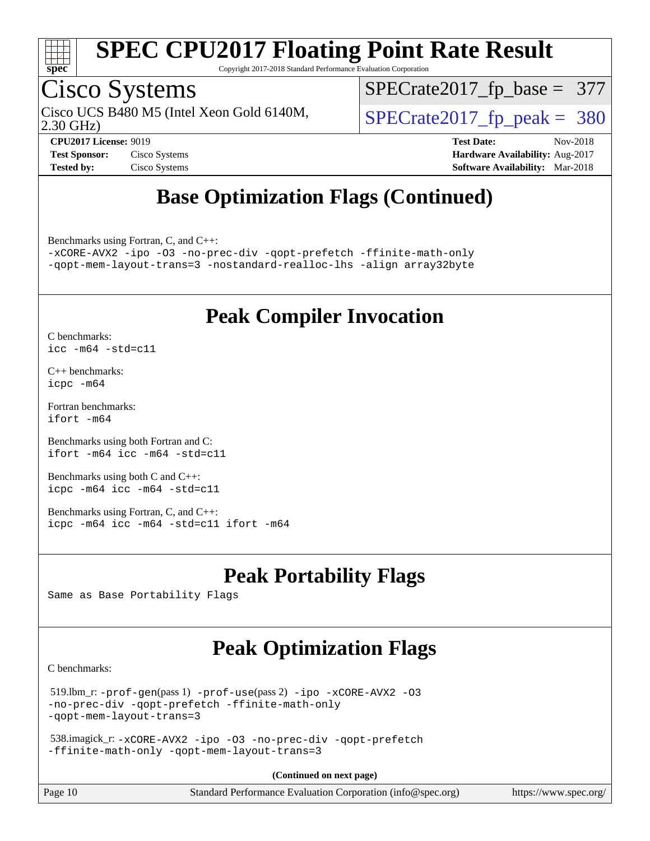

Copyright 2017-2018 Standard Performance Evaluation Corporation

### Cisco Systems

Cisco UCS B480 M5 (Intel Xeon Gold 6140M,  $\begin{array}{c|c} | \text{SPECrate2017\_fp\_peak} = 380 \end{array}$ 

[SPECrate2017\\_fp\\_base =](http://www.spec.org/auto/cpu2017/Docs/result-fields.html#SPECrate2017fpbase) 377

2.30 GHz)

**[CPU2017 License:](http://www.spec.org/auto/cpu2017/Docs/result-fields.html#CPU2017License)** 9019 **[Test Date:](http://www.spec.org/auto/cpu2017/Docs/result-fields.html#TestDate)** Nov-2018 **[Test Sponsor:](http://www.spec.org/auto/cpu2017/Docs/result-fields.html#TestSponsor)** Cisco Systems **[Hardware Availability:](http://www.spec.org/auto/cpu2017/Docs/result-fields.html#HardwareAvailability)** Aug-2017 **[Tested by:](http://www.spec.org/auto/cpu2017/Docs/result-fields.html#Testedby)** Cisco Systems **[Software Availability:](http://www.spec.org/auto/cpu2017/Docs/result-fields.html#SoftwareAvailability)** Mar-2018

### **[Base Optimization Flags \(Continued\)](http://www.spec.org/auto/cpu2017/Docs/result-fields.html#BaseOptimizationFlags)**

[Benchmarks using Fortran, C, and C++:](http://www.spec.org/auto/cpu2017/Docs/result-fields.html#BenchmarksusingFortranCandCXX)

[-xCORE-AVX2](http://www.spec.org/cpu2017/results/res2018q4/cpu2017-20181127-09982.flags.html#user_CC_CXX_FCbase_f-xCORE-AVX2) [-ipo](http://www.spec.org/cpu2017/results/res2018q4/cpu2017-20181127-09982.flags.html#user_CC_CXX_FCbase_f-ipo) [-O3](http://www.spec.org/cpu2017/results/res2018q4/cpu2017-20181127-09982.flags.html#user_CC_CXX_FCbase_f-O3) [-no-prec-div](http://www.spec.org/cpu2017/results/res2018q4/cpu2017-20181127-09982.flags.html#user_CC_CXX_FCbase_f-no-prec-div) [-qopt-prefetch](http://www.spec.org/cpu2017/results/res2018q4/cpu2017-20181127-09982.flags.html#user_CC_CXX_FCbase_f-qopt-prefetch) [-ffinite-math-only](http://www.spec.org/cpu2017/results/res2018q4/cpu2017-20181127-09982.flags.html#user_CC_CXX_FCbase_f_finite_math_only_cb91587bd2077682c4b38af759c288ed7c732db004271a9512da14a4f8007909a5f1427ecbf1a0fb78ff2a814402c6114ac565ca162485bbcae155b5e4258871) [-qopt-mem-layout-trans=3](http://www.spec.org/cpu2017/results/res2018q4/cpu2017-20181127-09982.flags.html#user_CC_CXX_FCbase_f-qopt-mem-layout-trans_de80db37974c74b1f0e20d883f0b675c88c3b01e9d123adea9b28688d64333345fb62bc4a798493513fdb68f60282f9a726aa07f478b2f7113531aecce732043) [-nostandard-realloc-lhs](http://www.spec.org/cpu2017/results/res2018q4/cpu2017-20181127-09982.flags.html#user_CC_CXX_FCbase_f_2003_std_realloc_82b4557e90729c0f113870c07e44d33d6f5a304b4f63d4c15d2d0f1fab99f5daaed73bdb9275d9ae411527f28b936061aa8b9c8f2d63842963b95c9dd6426b8a) [-align array32byte](http://www.spec.org/cpu2017/results/res2018q4/cpu2017-20181127-09982.flags.html#user_CC_CXX_FCbase_align_array32byte_b982fe038af199962ba9a80c053b8342c548c85b40b8e86eb3cc33dee0d7986a4af373ac2d51c3f7cf710a18d62fdce2948f201cd044323541f22fc0fffc51b6)

#### **[Peak Compiler Invocation](http://www.spec.org/auto/cpu2017/Docs/result-fields.html#PeakCompilerInvocation)**

[C benchmarks](http://www.spec.org/auto/cpu2017/Docs/result-fields.html#Cbenchmarks): [icc -m64 -std=c11](http://www.spec.org/cpu2017/results/res2018q4/cpu2017-20181127-09982.flags.html#user_CCpeak_intel_icc_64bit_c11_33ee0cdaae7deeeab2a9725423ba97205ce30f63b9926c2519791662299b76a0318f32ddfffdc46587804de3178b4f9328c46fa7c2b0cd779d7a61945c91cd35)

[C++ benchmarks:](http://www.spec.org/auto/cpu2017/Docs/result-fields.html#CXXbenchmarks) [icpc -m64](http://www.spec.org/cpu2017/results/res2018q4/cpu2017-20181127-09982.flags.html#user_CXXpeak_intel_icpc_64bit_4ecb2543ae3f1412ef961e0650ca070fec7b7afdcd6ed48761b84423119d1bf6bdf5cad15b44d48e7256388bc77273b966e5eb805aefd121eb22e9299b2ec9d9)

[Fortran benchmarks](http://www.spec.org/auto/cpu2017/Docs/result-fields.html#Fortranbenchmarks): [ifort -m64](http://www.spec.org/cpu2017/results/res2018q4/cpu2017-20181127-09982.flags.html#user_FCpeak_intel_ifort_64bit_24f2bb282fbaeffd6157abe4f878425411749daecae9a33200eee2bee2fe76f3b89351d69a8130dd5949958ce389cf37ff59a95e7a40d588e8d3a57e0c3fd751)

[Benchmarks using both Fortran and C](http://www.spec.org/auto/cpu2017/Docs/result-fields.html#BenchmarksusingbothFortranandC): [ifort -m64](http://www.spec.org/cpu2017/results/res2018q4/cpu2017-20181127-09982.flags.html#user_CC_FCpeak_intel_ifort_64bit_24f2bb282fbaeffd6157abe4f878425411749daecae9a33200eee2bee2fe76f3b89351d69a8130dd5949958ce389cf37ff59a95e7a40d588e8d3a57e0c3fd751) [icc -m64 -std=c11](http://www.spec.org/cpu2017/results/res2018q4/cpu2017-20181127-09982.flags.html#user_CC_FCpeak_intel_icc_64bit_c11_33ee0cdaae7deeeab2a9725423ba97205ce30f63b9926c2519791662299b76a0318f32ddfffdc46587804de3178b4f9328c46fa7c2b0cd779d7a61945c91cd35)

[Benchmarks using both C and C++](http://www.spec.org/auto/cpu2017/Docs/result-fields.html#BenchmarksusingbothCandCXX): [icpc -m64](http://www.spec.org/cpu2017/results/res2018q4/cpu2017-20181127-09982.flags.html#user_CC_CXXpeak_intel_icpc_64bit_4ecb2543ae3f1412ef961e0650ca070fec7b7afdcd6ed48761b84423119d1bf6bdf5cad15b44d48e7256388bc77273b966e5eb805aefd121eb22e9299b2ec9d9) [icc -m64 -std=c11](http://www.spec.org/cpu2017/results/res2018q4/cpu2017-20181127-09982.flags.html#user_CC_CXXpeak_intel_icc_64bit_c11_33ee0cdaae7deeeab2a9725423ba97205ce30f63b9926c2519791662299b76a0318f32ddfffdc46587804de3178b4f9328c46fa7c2b0cd779d7a61945c91cd35)

[Benchmarks using Fortran, C, and C++:](http://www.spec.org/auto/cpu2017/Docs/result-fields.html#BenchmarksusingFortranCandCXX) [icpc -m64](http://www.spec.org/cpu2017/results/res2018q4/cpu2017-20181127-09982.flags.html#user_CC_CXX_FCpeak_intel_icpc_64bit_4ecb2543ae3f1412ef961e0650ca070fec7b7afdcd6ed48761b84423119d1bf6bdf5cad15b44d48e7256388bc77273b966e5eb805aefd121eb22e9299b2ec9d9) [icc -m64 -std=c11](http://www.spec.org/cpu2017/results/res2018q4/cpu2017-20181127-09982.flags.html#user_CC_CXX_FCpeak_intel_icc_64bit_c11_33ee0cdaae7deeeab2a9725423ba97205ce30f63b9926c2519791662299b76a0318f32ddfffdc46587804de3178b4f9328c46fa7c2b0cd779d7a61945c91cd35) [ifort -m64](http://www.spec.org/cpu2017/results/res2018q4/cpu2017-20181127-09982.flags.html#user_CC_CXX_FCpeak_intel_ifort_64bit_24f2bb282fbaeffd6157abe4f878425411749daecae9a33200eee2bee2fe76f3b89351d69a8130dd5949958ce389cf37ff59a95e7a40d588e8d3a57e0c3fd751)

#### **[Peak Portability Flags](http://www.spec.org/auto/cpu2017/Docs/result-fields.html#PeakPortabilityFlags)**

Same as Base Portability Flags

### **[Peak Optimization Flags](http://www.spec.org/auto/cpu2017/Docs/result-fields.html#PeakOptimizationFlags)**

[C benchmarks](http://www.spec.org/auto/cpu2017/Docs/result-fields.html#Cbenchmarks):

 519.lbm\_r: [-prof-gen](http://www.spec.org/cpu2017/results/res2018q4/cpu2017-20181127-09982.flags.html#user_peakPASS1_CFLAGSPASS1_LDFLAGS519_lbm_r_prof_gen_5aa4926d6013ddb2a31985c654b3eb18169fc0c6952a63635c234f711e6e63dd76e94ad52365559451ec499a2cdb89e4dc58ba4c67ef54ca681ffbe1461d6b36)(pass 1) [-prof-use](http://www.spec.org/cpu2017/results/res2018q4/cpu2017-20181127-09982.flags.html#user_peakPASS2_CFLAGSPASS2_LDFLAGS519_lbm_r_prof_use_1a21ceae95f36a2b53c25747139a6c16ca95bd9def2a207b4f0849963b97e94f5260e30a0c64f4bb623698870e679ca08317ef8150905d41bd88c6f78df73f19)(pass 2) [-ipo](http://www.spec.org/cpu2017/results/res2018q4/cpu2017-20181127-09982.flags.html#user_peakPASS1_COPTIMIZEPASS2_COPTIMIZE519_lbm_r_f-ipo) [-xCORE-AVX2](http://www.spec.org/cpu2017/results/res2018q4/cpu2017-20181127-09982.flags.html#user_peakPASS2_COPTIMIZE519_lbm_r_f-xCORE-AVX2) [-O3](http://www.spec.org/cpu2017/results/res2018q4/cpu2017-20181127-09982.flags.html#user_peakPASS1_COPTIMIZEPASS2_COPTIMIZE519_lbm_r_f-O3) [-no-prec-div](http://www.spec.org/cpu2017/results/res2018q4/cpu2017-20181127-09982.flags.html#user_peakPASS1_COPTIMIZEPASS2_COPTIMIZE519_lbm_r_f-no-prec-div) [-qopt-prefetch](http://www.spec.org/cpu2017/results/res2018q4/cpu2017-20181127-09982.flags.html#user_peakPASS1_COPTIMIZEPASS2_COPTIMIZE519_lbm_r_f-qopt-prefetch) [-ffinite-math-only](http://www.spec.org/cpu2017/results/res2018q4/cpu2017-20181127-09982.flags.html#user_peakPASS1_COPTIMIZEPASS2_COPTIMIZE519_lbm_r_f_finite_math_only_cb91587bd2077682c4b38af759c288ed7c732db004271a9512da14a4f8007909a5f1427ecbf1a0fb78ff2a814402c6114ac565ca162485bbcae155b5e4258871) [-qopt-mem-layout-trans=3](http://www.spec.org/cpu2017/results/res2018q4/cpu2017-20181127-09982.flags.html#user_peakPASS1_COPTIMIZEPASS2_COPTIMIZE519_lbm_r_f-qopt-mem-layout-trans_de80db37974c74b1f0e20d883f0b675c88c3b01e9d123adea9b28688d64333345fb62bc4a798493513fdb68f60282f9a726aa07f478b2f7113531aecce732043)

```
 538.imagick_r: -xCORE-AVX2 -ipo -O3 -no-prec-div -qopt-prefetch
-ffinite-math-only -qopt-mem-layout-trans=3
```
**(Continued on next page)**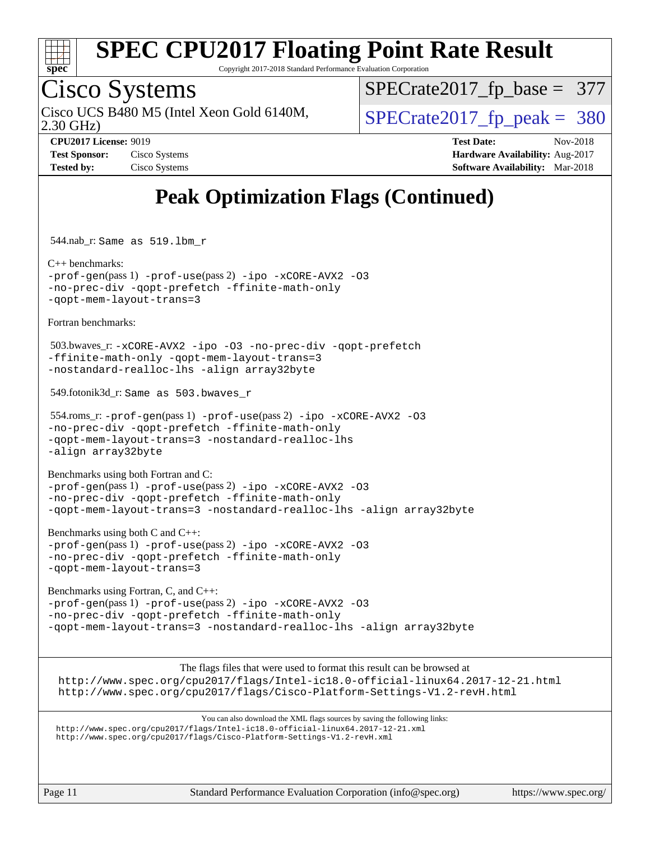

Copyright 2017-2018 Standard Performance Evaluation Corporation

### Cisco Systems

Cisco UCS B480 M5 (Intel Xeon Gold 6140M,  $\vert$ [SPECrate2017\\_fp\\_peak =](http://www.spec.org/auto/cpu2017/Docs/result-fields.html#SPECrate2017fppeak) 380

[SPECrate2017\\_fp\\_base =](http://www.spec.org/auto/cpu2017/Docs/result-fields.html#SPECrate2017fpbase) 377

2.30 GHz)

**[Tested by:](http://www.spec.org/auto/cpu2017/Docs/result-fields.html#Testedby)** Cisco Systems **[Software Availability:](http://www.spec.org/auto/cpu2017/Docs/result-fields.html#SoftwareAvailability)** Mar-2018

**[CPU2017 License:](http://www.spec.org/auto/cpu2017/Docs/result-fields.html#CPU2017License)** 9019 **[Test Date:](http://www.spec.org/auto/cpu2017/Docs/result-fields.html#TestDate)** Nov-2018 **[Test Sponsor:](http://www.spec.org/auto/cpu2017/Docs/result-fields.html#TestSponsor)** Cisco Systems **Cisco Systems [Hardware Availability:](http://www.spec.org/auto/cpu2017/Docs/result-fields.html#HardwareAvailability)** Aug-2017

### **[Peak Optimization Flags \(Continued\)](http://www.spec.org/auto/cpu2017/Docs/result-fields.html#PeakOptimizationFlags)**

544.nab\_r: Same as 519.lbm\_r

[C++ benchmarks:](http://www.spec.org/auto/cpu2017/Docs/result-fields.html#CXXbenchmarks) [-prof-gen](http://www.spec.org/cpu2017/results/res2018q4/cpu2017-20181127-09982.flags.html#user_CXXpeak_prof_gen_5aa4926d6013ddb2a31985c654b3eb18169fc0c6952a63635c234f711e6e63dd76e94ad52365559451ec499a2cdb89e4dc58ba4c67ef54ca681ffbe1461d6b36)(pass 1) [-prof-use](http://www.spec.org/cpu2017/results/res2018q4/cpu2017-20181127-09982.flags.html#user_CXXpeak_prof_use_1a21ceae95f36a2b53c25747139a6c16ca95bd9def2a207b4f0849963b97e94f5260e30a0c64f4bb623698870e679ca08317ef8150905d41bd88c6f78df73f19)(pass 2) [-ipo](http://www.spec.org/cpu2017/results/res2018q4/cpu2017-20181127-09982.flags.html#user_CXXpeak_f-ipo) [-xCORE-AVX2](http://www.spec.org/cpu2017/results/res2018q4/cpu2017-20181127-09982.flags.html#user_CXXpeak_f-xCORE-AVX2) [-O3](http://www.spec.org/cpu2017/results/res2018q4/cpu2017-20181127-09982.flags.html#user_CXXpeak_f-O3) [-no-prec-div](http://www.spec.org/cpu2017/results/res2018q4/cpu2017-20181127-09982.flags.html#user_CXXpeak_f-no-prec-div) [-qopt-prefetch](http://www.spec.org/cpu2017/results/res2018q4/cpu2017-20181127-09982.flags.html#user_CXXpeak_f-qopt-prefetch) [-ffinite-math-only](http://www.spec.org/cpu2017/results/res2018q4/cpu2017-20181127-09982.flags.html#user_CXXpeak_f_finite_math_only_cb91587bd2077682c4b38af759c288ed7c732db004271a9512da14a4f8007909a5f1427ecbf1a0fb78ff2a814402c6114ac565ca162485bbcae155b5e4258871) [-qopt-mem-layout-trans=3](http://www.spec.org/cpu2017/results/res2018q4/cpu2017-20181127-09982.flags.html#user_CXXpeak_f-qopt-mem-layout-trans_de80db37974c74b1f0e20d883f0b675c88c3b01e9d123adea9b28688d64333345fb62bc4a798493513fdb68f60282f9a726aa07f478b2f7113531aecce732043)

[Fortran benchmarks](http://www.spec.org/auto/cpu2017/Docs/result-fields.html#Fortranbenchmarks):

 503.bwaves\_r: [-xCORE-AVX2](http://www.spec.org/cpu2017/results/res2018q4/cpu2017-20181127-09982.flags.html#user_peakFOPTIMIZE503_bwaves_r_f-xCORE-AVX2) [-ipo](http://www.spec.org/cpu2017/results/res2018q4/cpu2017-20181127-09982.flags.html#user_peakFOPTIMIZE503_bwaves_r_f-ipo) [-O3](http://www.spec.org/cpu2017/results/res2018q4/cpu2017-20181127-09982.flags.html#user_peakFOPTIMIZE503_bwaves_r_f-O3) [-no-prec-div](http://www.spec.org/cpu2017/results/res2018q4/cpu2017-20181127-09982.flags.html#user_peakFOPTIMIZE503_bwaves_r_f-no-prec-div) [-qopt-prefetch](http://www.spec.org/cpu2017/results/res2018q4/cpu2017-20181127-09982.flags.html#user_peakFOPTIMIZE503_bwaves_r_f-qopt-prefetch) [-ffinite-math-only](http://www.spec.org/cpu2017/results/res2018q4/cpu2017-20181127-09982.flags.html#user_peakFOPTIMIZE503_bwaves_r_f_finite_math_only_cb91587bd2077682c4b38af759c288ed7c732db004271a9512da14a4f8007909a5f1427ecbf1a0fb78ff2a814402c6114ac565ca162485bbcae155b5e4258871) [-qopt-mem-layout-trans=3](http://www.spec.org/cpu2017/results/res2018q4/cpu2017-20181127-09982.flags.html#user_peakFOPTIMIZE503_bwaves_r_f-qopt-mem-layout-trans_de80db37974c74b1f0e20d883f0b675c88c3b01e9d123adea9b28688d64333345fb62bc4a798493513fdb68f60282f9a726aa07f478b2f7113531aecce732043) [-nostandard-realloc-lhs](http://www.spec.org/cpu2017/results/res2018q4/cpu2017-20181127-09982.flags.html#user_peakEXTRA_FOPTIMIZE503_bwaves_r_f_2003_std_realloc_82b4557e90729c0f113870c07e44d33d6f5a304b4f63d4c15d2d0f1fab99f5daaed73bdb9275d9ae411527f28b936061aa8b9c8f2d63842963b95c9dd6426b8a) [-align array32byte](http://www.spec.org/cpu2017/results/res2018q4/cpu2017-20181127-09982.flags.html#user_peakEXTRA_FOPTIMIZE503_bwaves_r_align_array32byte_b982fe038af199962ba9a80c053b8342c548c85b40b8e86eb3cc33dee0d7986a4af373ac2d51c3f7cf710a18d62fdce2948f201cd044323541f22fc0fffc51b6)

549.fotonik3d\_r: Same as 503.bwaves\_r

 554.roms\_r: [-prof-gen](http://www.spec.org/cpu2017/results/res2018q4/cpu2017-20181127-09982.flags.html#user_peakPASS1_FFLAGSPASS1_LDFLAGS554_roms_r_prof_gen_5aa4926d6013ddb2a31985c654b3eb18169fc0c6952a63635c234f711e6e63dd76e94ad52365559451ec499a2cdb89e4dc58ba4c67ef54ca681ffbe1461d6b36)(pass 1) [-prof-use](http://www.spec.org/cpu2017/results/res2018q4/cpu2017-20181127-09982.flags.html#user_peakPASS2_FFLAGSPASS2_LDFLAGS554_roms_r_prof_use_1a21ceae95f36a2b53c25747139a6c16ca95bd9def2a207b4f0849963b97e94f5260e30a0c64f4bb623698870e679ca08317ef8150905d41bd88c6f78df73f19)(pass 2) [-ipo](http://www.spec.org/cpu2017/results/res2018q4/cpu2017-20181127-09982.flags.html#user_peakPASS1_FOPTIMIZEPASS2_FOPTIMIZE554_roms_r_f-ipo) [-xCORE-AVX2](http://www.spec.org/cpu2017/results/res2018q4/cpu2017-20181127-09982.flags.html#user_peakPASS2_FOPTIMIZE554_roms_r_f-xCORE-AVX2) [-O3](http://www.spec.org/cpu2017/results/res2018q4/cpu2017-20181127-09982.flags.html#user_peakPASS1_FOPTIMIZEPASS2_FOPTIMIZE554_roms_r_f-O3) [-no-prec-div](http://www.spec.org/cpu2017/results/res2018q4/cpu2017-20181127-09982.flags.html#user_peakPASS1_FOPTIMIZEPASS2_FOPTIMIZE554_roms_r_f-no-prec-div) [-qopt-prefetch](http://www.spec.org/cpu2017/results/res2018q4/cpu2017-20181127-09982.flags.html#user_peakPASS1_FOPTIMIZEPASS2_FOPTIMIZE554_roms_r_f-qopt-prefetch) [-ffinite-math-only](http://www.spec.org/cpu2017/results/res2018q4/cpu2017-20181127-09982.flags.html#user_peakPASS1_FOPTIMIZEPASS2_FOPTIMIZE554_roms_r_f_finite_math_only_cb91587bd2077682c4b38af759c288ed7c732db004271a9512da14a4f8007909a5f1427ecbf1a0fb78ff2a814402c6114ac565ca162485bbcae155b5e4258871) [-qopt-mem-layout-trans=3](http://www.spec.org/cpu2017/results/res2018q4/cpu2017-20181127-09982.flags.html#user_peakPASS1_FOPTIMIZEPASS2_FOPTIMIZE554_roms_r_f-qopt-mem-layout-trans_de80db37974c74b1f0e20d883f0b675c88c3b01e9d123adea9b28688d64333345fb62bc4a798493513fdb68f60282f9a726aa07f478b2f7113531aecce732043) [-nostandard-realloc-lhs](http://www.spec.org/cpu2017/results/res2018q4/cpu2017-20181127-09982.flags.html#user_peakEXTRA_FOPTIMIZE554_roms_r_f_2003_std_realloc_82b4557e90729c0f113870c07e44d33d6f5a304b4f63d4c15d2d0f1fab99f5daaed73bdb9275d9ae411527f28b936061aa8b9c8f2d63842963b95c9dd6426b8a) [-align array32byte](http://www.spec.org/cpu2017/results/res2018q4/cpu2017-20181127-09982.flags.html#user_peakEXTRA_FOPTIMIZE554_roms_r_align_array32byte_b982fe038af199962ba9a80c053b8342c548c85b40b8e86eb3cc33dee0d7986a4af373ac2d51c3f7cf710a18d62fdce2948f201cd044323541f22fc0fffc51b6)

[Benchmarks using both Fortran and C](http://www.spec.org/auto/cpu2017/Docs/result-fields.html#BenchmarksusingbothFortranandC): [-prof-gen](http://www.spec.org/cpu2017/results/res2018q4/cpu2017-20181127-09982.flags.html#user_CC_FCpeak_prof_gen_5aa4926d6013ddb2a31985c654b3eb18169fc0c6952a63635c234f711e6e63dd76e94ad52365559451ec499a2cdb89e4dc58ba4c67ef54ca681ffbe1461d6b36)(pass 1) [-prof-use](http://www.spec.org/cpu2017/results/res2018q4/cpu2017-20181127-09982.flags.html#user_CC_FCpeak_prof_use_1a21ceae95f36a2b53c25747139a6c16ca95bd9def2a207b4f0849963b97e94f5260e30a0c64f4bb623698870e679ca08317ef8150905d41bd88c6f78df73f19)(pass 2) [-ipo](http://www.spec.org/cpu2017/results/res2018q4/cpu2017-20181127-09982.flags.html#user_CC_FCpeak_f-ipo) [-xCORE-AVX2](http://www.spec.org/cpu2017/results/res2018q4/cpu2017-20181127-09982.flags.html#user_CC_FCpeak_f-xCORE-AVX2) [-O3](http://www.spec.org/cpu2017/results/res2018q4/cpu2017-20181127-09982.flags.html#user_CC_FCpeak_f-O3) [-no-prec-div](http://www.spec.org/cpu2017/results/res2018q4/cpu2017-20181127-09982.flags.html#user_CC_FCpeak_f-no-prec-div) [-qopt-prefetch](http://www.spec.org/cpu2017/results/res2018q4/cpu2017-20181127-09982.flags.html#user_CC_FCpeak_f-qopt-prefetch) [-ffinite-math-only](http://www.spec.org/cpu2017/results/res2018q4/cpu2017-20181127-09982.flags.html#user_CC_FCpeak_f_finite_math_only_cb91587bd2077682c4b38af759c288ed7c732db004271a9512da14a4f8007909a5f1427ecbf1a0fb78ff2a814402c6114ac565ca162485bbcae155b5e4258871) [-qopt-mem-layout-trans=3](http://www.spec.org/cpu2017/results/res2018q4/cpu2017-20181127-09982.flags.html#user_CC_FCpeak_f-qopt-mem-layout-trans_de80db37974c74b1f0e20d883f0b675c88c3b01e9d123adea9b28688d64333345fb62bc4a798493513fdb68f60282f9a726aa07f478b2f7113531aecce732043) [-nostandard-realloc-lhs](http://www.spec.org/cpu2017/results/res2018q4/cpu2017-20181127-09982.flags.html#user_CC_FCpeak_f_2003_std_realloc_82b4557e90729c0f113870c07e44d33d6f5a304b4f63d4c15d2d0f1fab99f5daaed73bdb9275d9ae411527f28b936061aa8b9c8f2d63842963b95c9dd6426b8a) [-align array32byte](http://www.spec.org/cpu2017/results/res2018q4/cpu2017-20181127-09982.flags.html#user_CC_FCpeak_align_array32byte_b982fe038af199962ba9a80c053b8342c548c85b40b8e86eb3cc33dee0d7986a4af373ac2d51c3f7cf710a18d62fdce2948f201cd044323541f22fc0fffc51b6)

[Benchmarks using both C and C++](http://www.spec.org/auto/cpu2017/Docs/result-fields.html#BenchmarksusingbothCandCXX): [-prof-gen](http://www.spec.org/cpu2017/results/res2018q4/cpu2017-20181127-09982.flags.html#user_CC_CXXpeak_prof_gen_5aa4926d6013ddb2a31985c654b3eb18169fc0c6952a63635c234f711e6e63dd76e94ad52365559451ec499a2cdb89e4dc58ba4c67ef54ca681ffbe1461d6b36)(pass 1) [-prof-use](http://www.spec.org/cpu2017/results/res2018q4/cpu2017-20181127-09982.flags.html#user_CC_CXXpeak_prof_use_1a21ceae95f36a2b53c25747139a6c16ca95bd9def2a207b4f0849963b97e94f5260e30a0c64f4bb623698870e679ca08317ef8150905d41bd88c6f78df73f19)(pass 2) [-ipo](http://www.spec.org/cpu2017/results/res2018q4/cpu2017-20181127-09982.flags.html#user_CC_CXXpeak_f-ipo) [-xCORE-AVX2](http://www.spec.org/cpu2017/results/res2018q4/cpu2017-20181127-09982.flags.html#user_CC_CXXpeak_f-xCORE-AVX2) [-O3](http://www.spec.org/cpu2017/results/res2018q4/cpu2017-20181127-09982.flags.html#user_CC_CXXpeak_f-O3) [-no-prec-div](http://www.spec.org/cpu2017/results/res2018q4/cpu2017-20181127-09982.flags.html#user_CC_CXXpeak_f-no-prec-div) [-qopt-prefetch](http://www.spec.org/cpu2017/results/res2018q4/cpu2017-20181127-09982.flags.html#user_CC_CXXpeak_f-qopt-prefetch) [-ffinite-math-only](http://www.spec.org/cpu2017/results/res2018q4/cpu2017-20181127-09982.flags.html#user_CC_CXXpeak_f_finite_math_only_cb91587bd2077682c4b38af759c288ed7c732db004271a9512da14a4f8007909a5f1427ecbf1a0fb78ff2a814402c6114ac565ca162485bbcae155b5e4258871) [-qopt-mem-layout-trans=3](http://www.spec.org/cpu2017/results/res2018q4/cpu2017-20181127-09982.flags.html#user_CC_CXXpeak_f-qopt-mem-layout-trans_de80db37974c74b1f0e20d883f0b675c88c3b01e9d123adea9b28688d64333345fb62bc4a798493513fdb68f60282f9a726aa07f478b2f7113531aecce732043)

[Benchmarks using Fortran, C, and C++:](http://www.spec.org/auto/cpu2017/Docs/result-fields.html#BenchmarksusingFortranCandCXX) [-prof-gen](http://www.spec.org/cpu2017/results/res2018q4/cpu2017-20181127-09982.flags.html#user_CC_CXX_FCpeak_prof_gen_5aa4926d6013ddb2a31985c654b3eb18169fc0c6952a63635c234f711e6e63dd76e94ad52365559451ec499a2cdb89e4dc58ba4c67ef54ca681ffbe1461d6b36)(pass 1) [-prof-use](http://www.spec.org/cpu2017/results/res2018q4/cpu2017-20181127-09982.flags.html#user_CC_CXX_FCpeak_prof_use_1a21ceae95f36a2b53c25747139a6c16ca95bd9def2a207b4f0849963b97e94f5260e30a0c64f4bb623698870e679ca08317ef8150905d41bd88c6f78df73f19)(pass 2) [-ipo](http://www.spec.org/cpu2017/results/res2018q4/cpu2017-20181127-09982.flags.html#user_CC_CXX_FCpeak_f-ipo) [-xCORE-AVX2](http://www.spec.org/cpu2017/results/res2018q4/cpu2017-20181127-09982.flags.html#user_CC_CXX_FCpeak_f-xCORE-AVX2) [-O3](http://www.spec.org/cpu2017/results/res2018q4/cpu2017-20181127-09982.flags.html#user_CC_CXX_FCpeak_f-O3) [-no-prec-div](http://www.spec.org/cpu2017/results/res2018q4/cpu2017-20181127-09982.flags.html#user_CC_CXX_FCpeak_f-no-prec-div) [-qopt-prefetch](http://www.spec.org/cpu2017/results/res2018q4/cpu2017-20181127-09982.flags.html#user_CC_CXX_FCpeak_f-qopt-prefetch) [-ffinite-math-only](http://www.spec.org/cpu2017/results/res2018q4/cpu2017-20181127-09982.flags.html#user_CC_CXX_FCpeak_f_finite_math_only_cb91587bd2077682c4b38af759c288ed7c732db004271a9512da14a4f8007909a5f1427ecbf1a0fb78ff2a814402c6114ac565ca162485bbcae155b5e4258871) [-qopt-mem-layout-trans=3](http://www.spec.org/cpu2017/results/res2018q4/cpu2017-20181127-09982.flags.html#user_CC_CXX_FCpeak_f-qopt-mem-layout-trans_de80db37974c74b1f0e20d883f0b675c88c3b01e9d123adea9b28688d64333345fb62bc4a798493513fdb68f60282f9a726aa07f478b2f7113531aecce732043) [-nostandard-realloc-lhs](http://www.spec.org/cpu2017/results/res2018q4/cpu2017-20181127-09982.flags.html#user_CC_CXX_FCpeak_f_2003_std_realloc_82b4557e90729c0f113870c07e44d33d6f5a304b4f63d4c15d2d0f1fab99f5daaed73bdb9275d9ae411527f28b936061aa8b9c8f2d63842963b95c9dd6426b8a) [-align array32byte](http://www.spec.org/cpu2017/results/res2018q4/cpu2017-20181127-09982.flags.html#user_CC_CXX_FCpeak_align_array32byte_b982fe038af199962ba9a80c053b8342c548c85b40b8e86eb3cc33dee0d7986a4af373ac2d51c3f7cf710a18d62fdce2948f201cd044323541f22fc0fffc51b6)

The flags files that were used to format this result can be browsed at

<http://www.spec.org/cpu2017/flags/Intel-ic18.0-official-linux64.2017-12-21.html> <http://www.spec.org/cpu2017/flags/Cisco-Platform-Settings-V1.2-revH.html>

You can also download the XML flags sources by saving the following links: <http://www.spec.org/cpu2017/flags/Intel-ic18.0-official-linux64.2017-12-21.xml> <http://www.spec.org/cpu2017/flags/Cisco-Platform-Settings-V1.2-revH.xml>